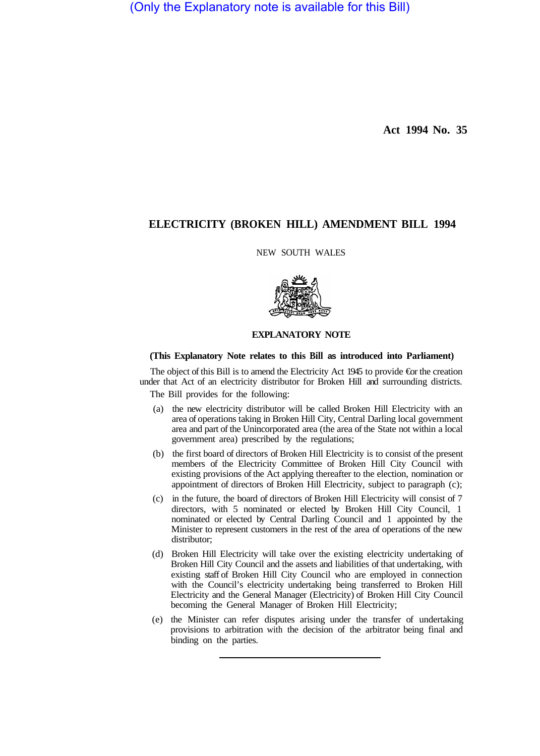(Only the Explanatory note is available for this Bill)

**Act 1994 No. 35**

## **ELECTRICITY (BROKEN HILL) AMENDMENT BILL 1994**

NEW SOUTH WALES



## **EXPLANATORY NOTE**

## **(This Explanatory Note relates to this Bill as introduced into Parliament)**

The object of this Bill is to amend the Electricity Act 1945 to provide €or the creation under that Act of an electricity distributor for Broken Hill and surrounding districts. The Bill provides for the following:

- (a) the new electricity distributor will be called Broken Hill Electricity with an area of operations taking in Broken Hill City, Central Darling local government area and part of the Unincorporated area (the area of the State not within a local government area) prescribed by the regulations;
- (b) the first board of directors of Broken Hill Electricity is to consist of the present members of the Electricity Committee of Broken Hill City Council with existing provisions of the Act applying thereafter to the election, nomination or appointment of directors of Broken Hill Electricity, subject to paragraph (c);
- (c) in the future, the board of directors of Broken Hill Electricity will consist of 7 directors, with 5 nominated or elected by Broken Hill City Council, 1 nominated or elected by Central Darling Council and 1 appointed by the Minister to represent customers in the rest of the area of operations of the new distributor;
- (d) Broken Hill Electricity will take over the existing electricity undertaking of Broken Hill City Council and the assets and liabilities of that undertaking, with existing staff of Broken Hill City Council who are employed in connection with the Council's electricity undertaking being transferred to Broken Hill Electricity and the General Manager (Electricity) of Broken Hill City Council becoming the General Manager of Broken Hill Electricity;
- (e) the Minister can refer disputes arising under the transfer of undertaking provisions to arbitration with the decision of the arbitrator being final and binding on the parties.